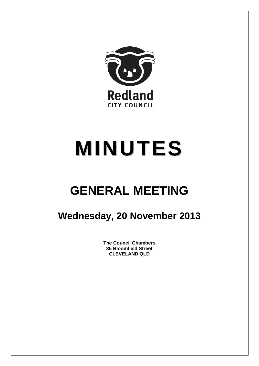

# **MINUTES**

## **GENERAL MEETING**

### **Wednesday, 20 November 2013**

**The Council Chambers 35 Bloomfield Street CLEVELAND QLD**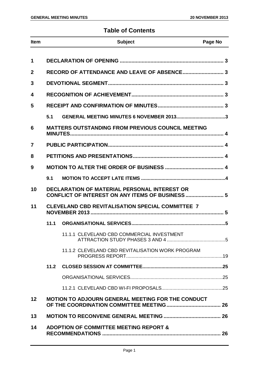#### **Table of Contents**

| <b>Item</b>     |                                                                                                         | <b>Subject</b>                                           | Page No |  |
|-----------------|---------------------------------------------------------------------------------------------------------|----------------------------------------------------------|---------|--|
| 1               |                                                                                                         |                                                          |         |  |
| $\overline{2}$  |                                                                                                         |                                                          |         |  |
|                 |                                                                                                         |                                                          |         |  |
| 3               |                                                                                                         |                                                          |         |  |
| 4               |                                                                                                         |                                                          |         |  |
| 5               |                                                                                                         |                                                          |         |  |
|                 | 5.1                                                                                                     | GENERAL MEETING MINUTES 6 NOVEMBER 20133                 |         |  |
| 6               |                                                                                                         | <b>MATTERS OUTSTANDING FROM PREVIOUS COUNCIL MEETING</b> |         |  |
| 7               |                                                                                                         |                                                          |         |  |
| 8               |                                                                                                         |                                                          |         |  |
| 9               |                                                                                                         |                                                          |         |  |
|                 | 9.1                                                                                                     |                                                          |         |  |
| 10              | <b>DECLARATION OF MATERIAL PERSONAL INTEREST OR</b><br>CONFLICT OF INTEREST ON ANY ITEMS OF BUSINESS  5 |                                                          |         |  |
| 11              | <b>CLEVELAND CBD REVITALISATION SPECIAL COMMITTEE 7</b>                                                 |                                                          |         |  |
|                 | 11.1                                                                                                    |                                                          |         |  |
|                 |                                                                                                         | 11.1.1 CLEVELAND CBD COMMERCIAL INVESTMENT               |         |  |
|                 |                                                                                                         | 11.1.2 CLEVELAND CBD REVITALISATION WORK PROGRAM         |         |  |
|                 |                                                                                                         |                                                          |         |  |
|                 |                                                                                                         |                                                          |         |  |
|                 |                                                                                                         |                                                          |         |  |
| 12 <sub>2</sub> |                                                                                                         | <b>MOTION TO ADJOURN GENERAL MEETING FOR THE CONDUCT</b> |         |  |
| 13              |                                                                                                         |                                                          |         |  |
| 14              |                                                                                                         | <b>ADOPTION OF COMMITTEE MEETING REPORT &amp;</b>        |         |  |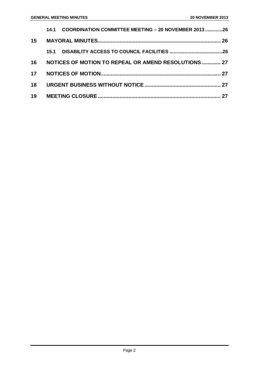|    | COORDINATION COMMITTEE MEETING - 20 NOVEMBER 201326<br>14.1 |  |
|----|-------------------------------------------------------------|--|
| 15 |                                                             |  |
|    |                                                             |  |
|    | 16 NOTICES OF MOTION TO REPEAL OR AMEND RESOLUTIONS 27      |  |
|    |                                                             |  |
| 18 |                                                             |  |
|    |                                                             |  |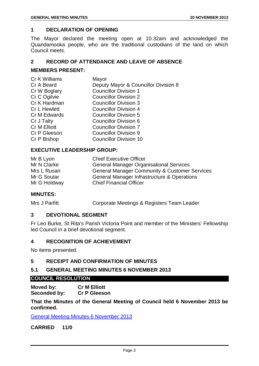#### <span id="page-3-0"></span>**1 DECLARATION OF OPENING**

The Mayor declared the meeting open at 10.32am and acknowledged the Quandamooka people, who are the traditional custodians of the land on which Council meets.

#### <span id="page-3-1"></span>**2 RECORD OF ATTENDANCE AND LEAVE OF ABSENCE**

#### **MEMBERS PRESENT:**

| Cr K Williams       | Mayor                                |
|---------------------|--------------------------------------|
| Cr A Beard          | Deputy Mayor & Councillor Division 8 |
| Cr W Boglary        | <b>Councillor Division 1</b>         |
| Cr C Ogilvie        | <b>Councillor Division 2</b>         |
| Cr K Hardman        | <b>Councillor Division 3</b>         |
| <b>Cr L Hewlett</b> | <b>Councillor Division 4</b>         |
| Cr M Edwards        | <b>Councillor Division 5</b>         |
| Cr J Talty          | Councillor Division 6                |
| Cr M Elliott        | <b>Councillor Division 7</b>         |
| Cr P Gleeson        | <b>Councillor Division 9</b>         |
| Cr P Bishop         | <b>Councillor Division 10</b>        |
|                     |                                      |

#### **EXECUTIVE LEADERSHIP GROUP:**

| Mr B Lyon    | <b>Chief Executive Officer</b>                           |
|--------------|----------------------------------------------------------|
| Mr N Clarke  | <b>General Manager Organisational Services</b>           |
| Mrs L Rusan  | <b>General Manager Community &amp; Customer Services</b> |
| Mr G Soutar  | General Manager Infrastructure & Operations              |
| Mr G Holdway | <b>Chief Financial Officer</b>                           |

#### **MINUTES:**

Mrs J Parfitt Corporate Meetings & Registers Team Leader

#### <span id="page-3-2"></span>**3 DEVOTIONAL SEGMENT**

Fr Leo Burke, St Rita's Parish Victoria Point and member of the Ministers' Fellowship led Council in a brief devotional segment.

#### <span id="page-3-3"></span>**4 RECOGNITION OF ACHIEVEMENT**

No items presented.

#### <span id="page-3-4"></span>**5 RECEIPT AND CONFIRMATION OF MINUTES**

#### <span id="page-3-5"></span>**5.1 GENERAL MEETING MINUTES 6 NOVEMBER 2013**

#### **COUNCIL RESOLUTION**

**Moved by: Cr M Elliott Seconded by: Cr P Gleeson**

**That the Minutes of the General Meeting of Council held 6 November 2013 be confirmed.**

General Meeting Minutes 6 November 2013

**CARRIED 11/0**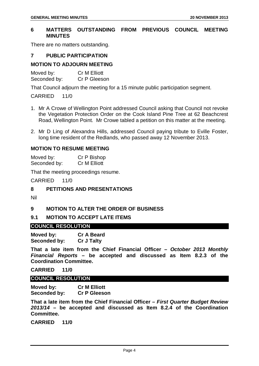#### <span id="page-4-0"></span>**6 MATTERS OUTSTANDING FROM PREVIOUS COUNCIL MEETING MINUTES**

There are no matters outstanding.

#### <span id="page-4-1"></span>**7 PUBLIC PARTICIPATION**

#### **MOTION TO ADJOURN MEETING**

Moved by: Cr M Elliott Seconded by: Cr P Gleeson

That Council adjourn the meeting for a 15 minute public participation segment.

CARRIED 11/0

- 1. Mr A Crowe of Wellington Point addressed Council asking that Council not revoke the Vegetation Protection Order on the Cook Island Pine Tree at 62 Beachcrest Road, Wellington Point. Mr Crowe tabled a petition on this matter at the meeting.
- 2. Mr D Ling of Alexandra Hills, addressed Council paying tribute to Eville Foster, long time resident of the Redlands, who passed away 12 November 2013.

#### **MOTION TO RESUME MEETING**

Moved by: Cr P Bishop Seconded by: Cr M Elliott

That the meeting proceedings resume.

CARRIED 11/0

<span id="page-4-2"></span>**8 PETITIONS AND PRESENTATIONS**

Nil

#### <span id="page-4-3"></span>**9 MOTION TO ALTER THE ORDER OF BUSINESS**

<span id="page-4-4"></span>**9.1 MOTION TO ACCEPT LATE ITEMS**

#### **COUNCIL RESOLUTION**

**Moved by: Cr A Beard Seconded by:** 

**That a late item from the Chief Financial Officer –** *October 2013 Monthly Financial Reports* **– be accepted and discussed as Item 8.2.3 of the Coordination Committee.**

**CARRIED 11/0**

#### **COUNCIL RESOLUTION**

**Moved by: Cr M Elliott Seconded by:** 

**That a late item from the Chief Financial Officer –** *First Quarter Budget Review 2013/14* **– be accepted and discussed as Item 8.2.4 of the Coordination Committee.**

**CARRIED 11/0**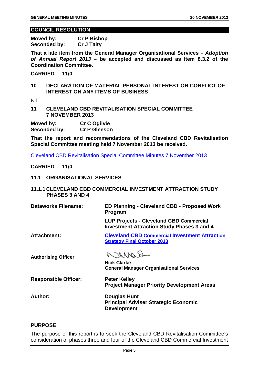#### **COUNCIL RESOLUTION**

**Moved by: Cr P Bishop Seconded by: Cr J Talty**

**That a late item from the General Manager Organisational Services –** *Adoption of Annual Report 2013* **– be accepted and discussed as Item 8.3.2 of the Coordination Committee.**

**CARRIED 11/0**

<span id="page-5-0"></span>**10 DECLARATION OF MATERIAL PERSONAL INTEREST OR CONFLICT OF INTEREST ON ANY ITEMS OF BUSINESS**

Nil

<span id="page-5-1"></span>**11 CLEVELAND CBD REVITALISATION SPECIAL COMMITTEE 7 NOVEMBER 2013**

**Moved by: Cr C Ogilvie Seconded by:** 

**That the report and recommendations of the Cleveland CBD Revitalisation Special Committee meeting held 7 November 2013 be received.**

Cleveland CBD Revitalisation Special Committee Minutes 7 November 2013

**CARRIED 11/0**

- <span id="page-5-2"></span>**11.1 ORGANISATIONAL SERVICES**
- <span id="page-5-3"></span>**11.1.1 CLEVELAND CBD COMMERCIAL INVESTMENT ATTRACTION STUDY PHASES 3 AND 4**

**Dataworks Filename: ED Planning - Cleveland CBD - Proposed Work Program** 

> **LUP Projects - Cleveland CBD Commercial Investment Attraction Study Phases 3 and 4**

**Attachment: Cleveland CBD Commercial Investment Attraction** 

**Authorising Officer**

DAMAS

**Strategy Final October 2013**

**Nick Clarke General Manager Organisational Services**

**Responsible Officer:** Peter Kelley

**Project Manager Priority Development Areas**

**Author: Douglas Hunt Principal Adviser Strategic Economic Development**

#### **PURPOSE**

The purpose of this report is to seek the Cleveland CBD Revitalisation Committee's consideration of phases three and four of the Cleveland CBD Commercial Investment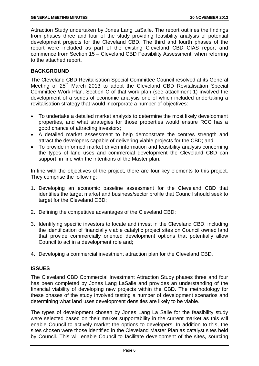Attraction Study undertaken by Jones Lang LaSalle. The report outlines the findings from phases three and four of the study providing feasibility analysis of potential development projects for the Cleveland CBD. The third and fourth phases of the report were included as part of the existing Cleveland CBD CIAS report and commence from Section 15 – Cleveland CBD Feasibility Assessment, when referring to the attached report.

#### **BACKGROUND**

The Cleveland CBD Revitalisation Special Committee Council resolved at its General Meeting of 25<sup>th</sup> March 2013 to adopt the Cleveland CBD Revitalisation Special Committee Work Plan. Section C of that work plan (see attachment 1) involved the development of a series of economic analysis one of which included undertaking a revitalisation strategy that would incorporate a number of objectives:

- To undertake a detailed market analysis to determine the most likely development properties, and what strategies for those properties would ensure RCC has a good chance of attracting investors;
- A detailed market assessment to help demonstrate the centres strength and attract the developers capable of delivering viable projects for the CBD; and
- To provide informed market driven information and feasibility analysis concerning the types of land uses and commercial development the Cleveland CBD can support, in line with the intentions of the Master plan.

In line with the objectives of the project, there are four key elements to this project. They comprise the following:

- 1. Developing an economic baseline assessment for the Cleveland CBD that identifies the target market and business/sector profile that Council should seek to target for the Cleveland CBD;
- 2. Defining the competitive advantages of the Cleveland CBD;
- 3. Identifying specific investors to locate and invest in the Cleveland CBD, including the identification of financially viable catalytic project sites on Council owned land that provide commercially oriented development options that potentially allow Council to act in a development role and;
- 4. Developing a commercial investment attraction plan for the Cleveland CBD.

#### **ISSUES**

The Cleveland CBD Commercial Investment Attraction Study phases three and four has been completed by Jones Lang LaSalle and provides an understanding of the financial viability of developing new projects within the CBD. The methodology for these phases of the study involved testing a number of development scenarios and determining what land uses development densities are likely to be viable.

The types of development chosen by Jones Lang La Salle for the feasibility study were selected based on their market supportability in the current market as this will enable Council to actively market the options to developers. In addition to this, the sites chosen were those identified in the Cleveland Master Plan as catalyst sites held by Council. This will enable Council to facilitate development of the sites, sourcing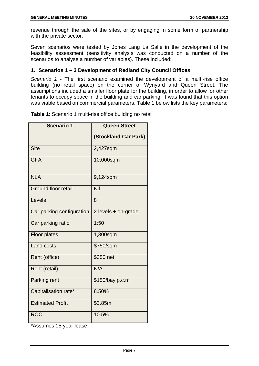revenue through the sale of the sites, or by engaging in some form of partnership with the private sector.

Seven scenarios were tested by Jones Lang La Salle in the development of the feasibility assessment (sensitivity analysis was conducted on a number of the scenarios to analyse a number of variables). These included:

#### **1. Scenarios 1 – 3 Development of Redland City Council Offices**

*Scenario 1 -* The first scenario examined the development of a multi-rise office building (no retail space) on the corner of Wynyard and Queen Street. The assumptions included a smaller floor plate for the building, in order to allow for other tenants to occupy space in the building and car parking. It was found that this option was viable based on commercial parameters. Table 1 below lists the key parameters:

**Table 1**: Scenario 1 multi-rise office building no retail

| <b>Scenario 1</b>          | <b>Queen Street</b>         |
|----------------------------|-----------------------------|
|                            | <b>(Stockland Car Park)</b> |
| <b>Site</b>                | 2,427sqm                    |
| <b>GFA</b>                 | 10,000sqm                   |
| <b>NLA</b>                 | 9,124sqm                    |
| <b>Ground floor retail</b> | Nil                         |
| Levels                     | 8                           |
| Car parking configuration  | 2 levels + on-grade         |
| Car parking ratio          | 1:50                        |
| <b>Floor plates</b>        | 1,300sqm                    |
| <b>Land costs</b>          | \$750/sqm                   |
| Rent (office)              | \$350 net                   |
| Rent (retail)              | N/A                         |
| Parking rent               | \$150/bay p.c.m.            |
| Capitalisation rate*       | 8.50%                       |
| <b>Estimated Profit</b>    | \$3.85m                     |
| <b>ROC</b>                 | 10.5%                       |

\*Assumes 15 year lease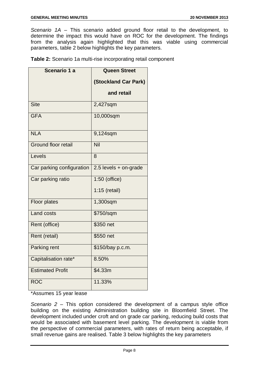*Scenario 1A –* This scenario added ground floor retail to the development, to determine the impact this would have on ROC for the development. The findings from the analysis again highlighted that this was viable using commercial parameters, table 2 below highlights the key parameters.

**Table 2:** Scenario 1a multi-rise incorporating retail component

| Scenario 1 a               | <b>Queen Street</b>         |
|----------------------------|-----------------------------|
|                            | <b>(Stockland Car Park)</b> |
|                            | and retail                  |
| <b>Site</b>                | 2,427sqm                    |
| <b>GFA</b>                 | 10,000sqm                   |
| <b>NLA</b>                 | 9,124sqm                    |
| <b>Ground floor retail</b> | Nil                         |
| Levels                     | 8                           |
| Car parking configuration  | 2.5 levels + on-grade       |
| Car parking ratio          | 1:50 (office)               |
|                            | $1:15$ (retail)             |
| Floor plates               | 1,300sqm                    |
| <b>Land costs</b>          | \$750/sqm                   |
| Rent (office)              | \$350 net                   |
| Rent (retail)              | \$550 net                   |
| Parking rent               | \$150/bay p.c.m.            |
| Capitalisation rate*       | 8.50%                       |
| <b>Estimated Profit</b>    | \$4.33m                     |
| <b>ROC</b>                 | 11.33%                      |

\*Assumes 15 year lease

*Scenario 2 –* This option considered the development of a campus style office building on the existing Administration building site in Bloomfield Street. The development included under croft and on grade car parking, reducing build costs that would be associated with basement level parking. The development is viable from the perspective of commercial parameters, with rates of return being acceptable, if small revenue gains are realised. Table 3 below highlights the key parameters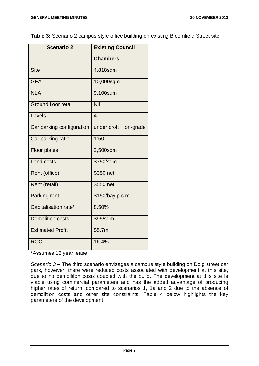**Table 3:** Scenario 2 campus style office building on existing Bloomfield Street site

| <b>Scenario 2</b>          | <b>Existing Council</b>  |
|----------------------------|--------------------------|
|                            | <b>Chambers</b>          |
| <b>Site</b>                | 4,818sqm                 |
| <b>GFA</b>                 | 10,000sqm                |
| <b>NLA</b>                 | 9,100sqm                 |
| <b>Ground floor retail</b> | <b>Nil</b>               |
| Levels                     | $\overline{4}$           |
| Car parking configuration  | under $croft + on-grade$ |
| Car parking ratio          | 1:50                     |
| <b>Floor plates</b>        | 2,500sqm                 |
| Land costs                 | \$750/sqm                |
| Rent (office)              | \$350 net                |
| Rent (retail)              | \$550 net                |
| Parking rent.              | \$150/bay p.c.m          |
| Capitalisation rate*       | 8.50%                    |
| Demolition costs           | \$95/sqm                 |
| <b>Estimated Profit</b>    | \$5.7m                   |
| <b>ROC</b>                 | 16.4%                    |

\*Assumes 15 year lease

*Scenario 3 –* The third scenario envisages a campus style building on Doig street car park, however, there were reduced costs associated with development at this site, due to no demolition costs coupled with the build. The development at this site is viable using commercial parameters and has the added advantage of producing higher rates of return, compared to scenarios 1, 1a and 2 due to the absence of demolition costs and other site constraints. Table 4 below highlights the key parameters of the development.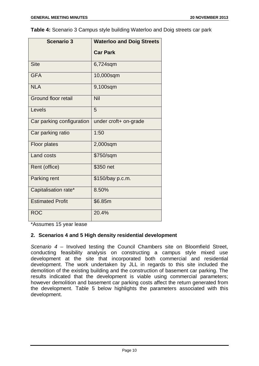**Table 4:** Scenario 3 Campus style building Waterloo and Doig streets car park

| <b>Scenario 3</b>          | <b>Waterloo and Doig Streets</b> |
|----------------------------|----------------------------------|
|                            | <b>Car Park</b>                  |
| <b>Site</b>                | 6,724sqm                         |
| <b>GFA</b>                 | 10,000sqm                        |
| <b>NLA</b>                 | 9,100sqm                         |
| <b>Ground floor retail</b> | Nil                              |
| Levels                     | 5                                |
| Car parking configuration  | under croft+ on-grade            |
| Car parking ratio          | 1:50                             |
| <b>Floor plates</b>        | 2,000sqm                         |
| <b>Land costs</b>          | \$750/sqm                        |
| Rent (office)              | \$350 net                        |
| Parking rent               | \$150/bay p.c.m.                 |
| Capitalisation rate*       | 8.50%                            |
| <b>Estimated Profit</b>    | \$6.85m                          |
| <b>ROC</b>                 | 20.4%                            |

\*Assumes 15 year lease

#### **2. Scenarios 4 and 5 High density residential development**

*Scenario 4 –* Involved testing the Council Chambers site on Bloomfield Street, conducting feasibility analysis on constructing a campus style mixed use development at the site that incorporated both commercial and residential development. The work undertaken by JLL in regards to this site included the demolition of the existing building and the construction of basement car parking. The results indicated that the development is viable using commercial parameters; however demolition and basement car parking costs affect the return generated from the development. Table 5 below highlights the parameters associated with this development.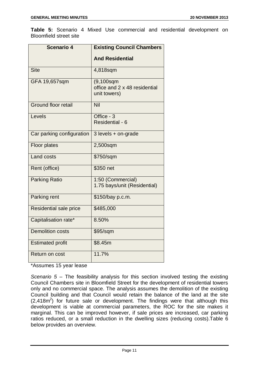**Table 5:** Scenario 4 Mixed Use commercial and residential development on Bloomfield street site

| <b>Scenario 4</b>          | <b>Existing Council Chambers</b>                               |
|----------------------------|----------------------------------------------------------------|
|                            | <b>And Residential</b>                                         |
| <b>Site</b>                | 4,818sqm                                                       |
| GFA 19,657sqm              | $(9, 100$ sqm<br>office and 2 x 48 residential<br>unit towers) |
| <b>Ground floor retail</b> | Nil                                                            |
| Levels                     | Office - 3<br>Residential - 6                                  |
| Car parking configuration  | 3 levels + on-grade                                            |
| <b>Floor plates</b>        | 2,500sqm                                                       |
| <b>Land costs</b>          | \$750/sqm                                                      |
| Rent (office)              | \$350 net                                                      |
| <b>Parking Ratio</b>       | 1:50 (Commercial)<br>1.75 bays/unit (Residential)              |
| Parking rent               | \$150/bay p.c.m.                                               |
| Residential sale price     | \$485,000                                                      |
| Capitalisation rate*       | 8.50%                                                          |
| <b>Demolition costs</b>    | \$95/sqm                                                       |
| <b>Estimated profit</b>    | \$8.45m                                                        |
| Return on cost             | 11.7%                                                          |

\*Assumes 15 year lease

*Scenario 5 –* The feasibility analysis for this section involved testing the existing Council Chambers site in Bloomfield Street for the development of residential towers only and no commercial space. The analysis assumes the demolition of the existing Council building and that Council would retain the balance of the land at the site  $(2,418m^2)$  for future sale or development. The findings were that although this development is viable at commercial parameters, the ROC for the site makes it marginal. This can be improved however, if sale prices are increased, car parking ratios reduced, or a small reduction in the dwelling sizes (reducing costs).Table 6 below provides an overview.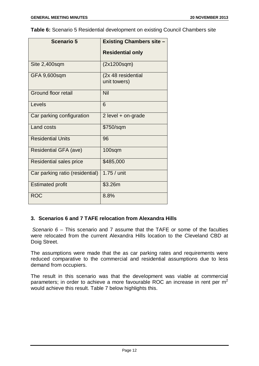**Table 6:** Scenario 5 Residential development on existing Council Chambers site

| <b>Scenario 5</b>               | <b>Existing Chambers site -</b>    |
|---------------------------------|------------------------------------|
|                                 | <b>Residential only</b>            |
| Site 2,400sqm                   | (2x1200sqm)                        |
| GFA 9,600sqm                    | (2x 48 residential<br>unit towers) |
| Ground floor retail             | Nil                                |
| Levels                          | 6                                  |
| Car parking configuration       | 2 level $+$ on-grade               |
| <b>Land costs</b>               | \$750/sqm                          |
| <b>Residential Units</b>        | 96                                 |
| Residential GFA (ave)           | $100$ sqm                          |
| <b>Residential sales price</b>  | \$485,000                          |
| Car parking ratio (residential) | $1.75/$ unit                       |
| <b>Estimated profit</b>         | \$3.26m                            |
| <b>ROC</b>                      | 8.8%                               |

#### **3. Scenarios 6 and 7 TAFE relocation from Alexandra Hills**

*Scenario 6 –* This scenario and 7 assume that the TAFE or some of the faculties were relocated from the current Alexandra Hills location to the Cleveland CBD at Doig Street.

The assumptions were made that the as car parking rates and requirements were reduced comparative to the commercial and residential assumptions due to less demand from occupiers.

The result in this scenario was that the development was viable at commercial parameters; in order to achieve a more favourable ROC an increase in rent per  $m<sup>2</sup>$ would achieve this result. Table 7 below highlights this.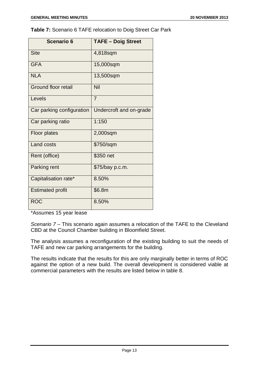**Table 7:** Scenario 6 TAFE relocation to Doig Street Car Park

| <b>Scenario 6</b>          | <b>TAFE - Doig Street</b> |
|----------------------------|---------------------------|
| <b>Site</b>                | 4,818sqm                  |
| <b>GFA</b>                 | 15,000sqm                 |
| <b>NLA</b>                 | 13,500sqm                 |
| <b>Ground floor retail</b> | Nil                       |
| Levels                     | $\overline{7}$            |
| Car parking configuration  | Undercroft and on-grade   |
| Car parking ratio          | 1:150                     |
| <b>Floor plates</b>        | 2,000sqm                  |
| <b>Land costs</b>          | \$750/sqm                 |
| Rent (office)              | \$350 net                 |
| Parking rent               | \$75/bay p.c.m.           |
| Capitalisation rate*       | 8.50%                     |
| <b>Estimated profit</b>    | \$6.8m                    |
| <b>ROC</b>                 | 8.50%                     |

\*Assumes 15 year lease

*Scenario 7 –* This scenario again assumes a relocation of the TAFE to the Cleveland CBD at the Council Chamber building in Bloomfield Street.

The analysis assumes a reconfiguration of the existing building to suit the needs of TAFE and new car parking arrangements for the building.

The results indicate that the results for this are only marginally better in terms of ROC against the option of a new build. The overall development is considered viable at commercial parameters with the results are listed below in table 8.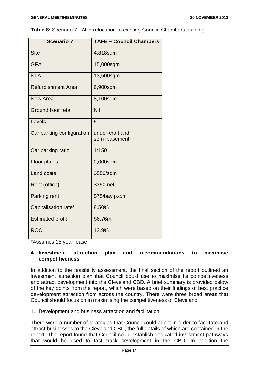**Table 8:** Scenario 7 TAFE relocation to existing Council Chambers building

| <b>Scenario 7</b>          | <b>TAFE - Council Chambers</b>   |
|----------------------------|----------------------------------|
| <b>Site</b>                | 4,818sqm                         |
| <b>GFA</b>                 | 15,000sqm                        |
| <b>NLA</b>                 | 13,500sqm                        |
| <b>Refurbishment Area</b>  | 6,900sqm                         |
| New Area                   | 8,100sqm                         |
| <b>Ground floor retail</b> | Nil                              |
| Levels                     | 5                                |
| Car parking configuration  | under-croft and<br>semi-basement |
| Car parking ratio          | 1:150                            |
| Floor plates               | 2,000sqm                         |
| <b>Land costs</b>          | \$550/sqm                        |
| Rent (office)              | \$350 net                        |
| Parking rent               | \$75/bay p.c.m.                  |
| Capitalisation rate*       | 8.50%                            |
| <b>Estimated profit</b>    | \$6.76m                          |
| <b>ROC</b>                 | 13.9%                            |

\*Assumes 15 year lease

#### **4. Investment attraction plan and recommendations to maximise competitiveness**

In addition to the feasibility assessment, the final section of the report outlined an investment attraction plan that Council could use to maximise its competitiveness and attract development into the Cleveland CBD. A brief summary is provided below of the key points from the report, which were based on their findings of best practice development attraction from across the country. There were three broad areas that Council should focus on in maximising the competitiveness of Cleveland:

#### 1. Development and business attraction and facilitation

There were a number of strategies that Council could adopt in order to facilitate and attract businesses to the Cleveland CBD, the full details of which are contained in the report. The report found that Council could establish dedicated investment pathways that would be used to fast track development in the CBD. In addition the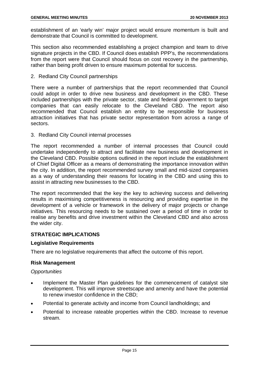establishment of an 'early win' major project would ensure momentum is built and demonstrate that Council is committed to development.

This section also recommended establishing a project champion and team to drive signature projects in the CBD. If Council does establish PPP's, the recommendations from the report were that Council should focus on cost recovery in the partnership, rather than being profit driven to ensure maximum potential for success.

2. Redland City Council partnerships

There were a number of partnerships that the report recommended that Council could adopt in order to drive new business and development in the CBD. These included partnerships with the private sector, state and federal government to target companies that can easily relocate to the Cleveland CBD. The report also recommended that Council establish an entity to be responsible for business attraction initiatives that has private sector representation from across a range of sectors.

3. Redland City Council internal processes

The report recommended a number of internal processes that Council could undertake independently to attract and facilitate new business and development in the Cleveland CBD. Possible options outlined in the report include the establishment of Chief Digital Officer as a means of demonstrating the importance innovation within the city. In addition, the report recommended survey small and mid-sized companies as a way of understanding their reasons for locating in the CBD and using this to assist in attracting new businesses to the CBD.

The report recommended that the key the key to achieving success and delivering results in maximising competitiveness is resourcing and providing expertise in the development of a vehicle or framework in the delivery of major projects or change initiatives. This resourcing needs to be sustained over a period of time in order to realise any benefits and drive investment within the Cleveland CBD and also across the wider city.

#### **STRATEGIC IMPLICATIONS**

#### **Legislative Requirements**

There are no legislative requirements that affect the outcome of this report.

#### **Risk Management**

#### *Opportunities*

- Implement the Master Plan guidelines for the commencement of catalyst site development. This will improve streetscape and amenity and have the potential to renew investor confidence in the CBD;
- Potential to generate activity and income from Council landholdings; and
- Potential to increase rateable properties within the CBD. Increase to revenue stream.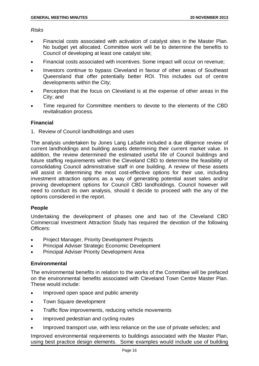#### *Risks*

- Financial costs associated with activation of catalyst sites in the Master Plan. No budget yet allocated. Committee work will be to determine the benefits to Council of developing at least one catalyst site;
- Financial costs associated with incentives. Some impact will occur on revenue;
- Investors continue to bypass Cleveland in favour of other areas of Southeast Queensland that offer potentially better ROI. This includes out of centre developments within the City;
- Perception that the focus on Cleveland is at the expense of other areas in the City; and
- Time required for Committee members to devote to the elements of the CBD revitalisation process.

#### **Financial**

1. Review of Council landholdings and uses

The analysis undertaken by Jones Lang LaSalle included a due diligence review of current landholdings and building assets determining their current market value. In addition, the review determined the estimated useful life of Council buildings and future staffing requirements within the Cleveland CBD to determine the feasibility of consolidating Council administrative staff in one building. A review of these assets will assist in determining the most cost-effective options for their use, including investment attraction options as a way of generating potential asset sales and/or proving development options for Council CBD landholdings. Council however will need to conduct its own analysis, should it decide to proceed with the any of the options considered in the report.

#### **People**

Undertaking the development of phases one and two of the Cleveland CBD Commercial Investment Attraction Study has required the devotion of the following Officers:

- Project Manager, Priority Development Projects
- Principal Adviser Strategic Economic Development
- Principal Adviser Priority Development Area

#### **Environmental**

The environmental benefits in relation to the works of the Committee will be prefaced on the environmental benefits associated with Cleveland Town Centre Master Plan. These would include:

- Improved open space and public amenity
- Town Square development
- Traffic flow improvements, reducing vehicle movements
- Improved pedestrian and cycling routes
- Improved transport use, with less reliance on the use of private vehicles; and

Improved environmental requirements to buildings associated with the Master Plan, using best practice design elements. Some examples would include use of building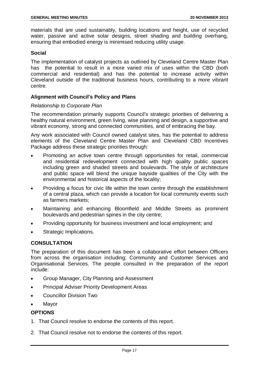materials that are used sustainably, building locations and height, use of recycled water, passive and active solar designs, street shading and building overhang, ensuring that embodied energy is minimised reducing utility usage.

#### **Social**

The implementation of catalyst projects as outlined by Cleveland Centre Master Plan has the potential to result in a more varied mix of uses within the CBD (both commercial and residential) and has the potential to increase activity within Cleveland outside of the traditional business hours, contributing to a more vibrant centre.

#### **Alignment with Council's Policy and Plans**

#### *Relationship to Corporate Plan*

The recommendation primarily supports Council's strategic priorities of delivering a healthy natural environment, green living, wise planning and design, a supportive and vibrant economy, strong and connected communities, and of embracing the bay.

Any work associated with Council owned catalyst sites, has the potential to address elements of the Cleveland Centre Master Plan and Cleveland CBD Incentives Package address these strategic priorities through:

- Promoting an active town centre through opportunities for retail, commercial and residential redevelopment connected with high quality public spaces including green and shaded streets and boulevards. The style of architecture and public space will blend the unique bayside qualities of the City with the environmental and historical aspects of the locality;
- Providing a focus for civic life within the town centre through the establishment of a central plaza, which can provide a location for local community events such as farmers markets;
- Maintaining and enhancing Bloomfield and Middle Streets as prominent boulevards and pedestrian spines in the city centre;
- Providing opportunity for business investment and local employment; and
- Strategic Implications.

#### **CONSULTATION**

The preparation of this document has been a collaborative effort between Officers from across the organisation including; Community and Customer Services and Organisational Services. The people consulted in the preparation of the report include:

- Group Manager, City Planning and Assessment
- Principal Adviser Priority Development Areas
- Councillor Division Two
- **Mayor**

#### **OPTIONS**

- 1. That Council resolve to endorse the contents of this report.
- 2. That Council resolve not to endorse the contents of this report.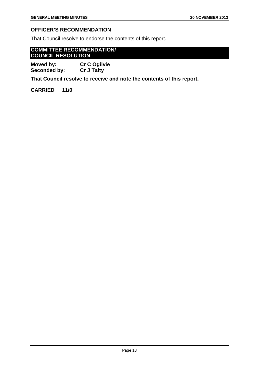#### **OFFICER'S RECOMMENDATION**

That Council resolve to endorse the contents of this report.

#### **COMMITTEE RECOMMENDATION/ COUNCIL RESOLUTION**

**Moved by: Cr C Ogilvie Seconded by:** 

**That Council resolve to receive and note the contents of this report.** 

**CARRIED 11/0**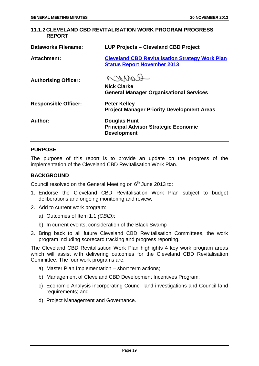#### <span id="page-19-0"></span>**11.1.2 CLEVELAND CBD REVITALISATION WORK PROGRAM PROGRESS REPORT**

| <b>Dataworks Filename:</b>  | <b>LUP Projects - Cleveland CBD Project</b>                                                  |
|-----------------------------|----------------------------------------------------------------------------------------------|
| <b>Attachment:</b>          | <b>Cleveland CBD Revitalisation Strategy Work Plan</b><br><b>Status Report November 2013</b> |
| <b>Authorising Officer:</b> | COMPO<br><b>Nick Clarke</b><br><b>General Manager Organisational Services</b>                |
| <b>Responsible Officer:</b> | <b>Peter Kelley</b><br><b>Project Manager Priority Development Areas</b>                     |
| Author:                     | Douglas Hunt<br><b>Principal Advisor Strategic Economic</b><br><b>Development</b>            |

#### **PURPOSE**

The purpose of this report is to provide an update on the progress of the implementation of the Cleveland CBD Revitalisation Work Plan.

#### **BACKGROUND**

Council resolved on the General Meeting on  $6<sup>th</sup>$  June 2013 to:

- 1. Endorse the Cleveland CBD Revitalisation Work Plan subject to budget deliberations and ongoing monitoring and review;
- 2. Add to current work program:
	- a) Outcomes of Item 1.1 *(CBID)*;
	- b) In current events, consideration of the Black Swamp
- 3. Bring back to all future Cleveland CBD Revitalisation Committees, the work program including scorecard tracking and progress reporting.

The Cleveland CBD Revitalisation Work Plan highlights 4 key work program areas which will assist with delivering outcomes for the Cleveland CBD Revitalisation Committee. The four work programs are:

- a) Master Plan Implementation short term actions;
- b) Management of Cleveland CBD Development Incentives Program;
- c) Economic Analysis incorporating Council land investigations and Council land requirements; and
- d) Project Management and Governance.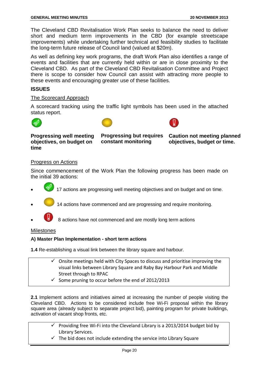The Cleveland CBD Revitalisation Work Plan seeks to balance the need to deliver short and medium term improvements in the CBD (for example streetscape improvements) while undertaking further technical and feasibility studies to facilitate the long-term future release of Council land (valued at \$20m).

As well as defining key work programs, the draft Work Plan also identifies a range of events and facilities that are currently held within or are in close proximity to the Cleveland CBD. As part of the Cleveland CBD Revitalisation Committee and Project there is scope to consider how Council can assist with attracting more people to these events and encouraging greater use of these facilities.

#### **ISSUES**

#### The Scorecard Approach

A scorecard tracking using the traffic light symbols has been used in the attached status report.







**Progressing well meeting objectives, on budget on time** 

**constant monitoring** 

**Progressing but requires Caution not meeting planned objectives, budget or time.** 

#### Progress on Actions

Since commencement of the Work Plan the following progress has been made on the initial 39 actions:

- 17 actions are progressing well meeting objectives and on budget and on time.
	- 14 actions have commenced and are progressing and require monitoring.
- 8 actions have not commenced and are mostly long term actions

#### **Milestones**

#### **A) Master Plan Implementation - short term actions**

**1.4** Re-establishing a visual link between the library square and harbour.

- $\checkmark$  Onsite meetings held with City Spaces to discuss and prioritise improving the visual links between Library Square and Raby Bay Harbour Park and Middle Street through to RPAC
- $\checkmark$  Some pruning to occur before the end of 2012/2013

**2.1** Implement actions and initiatives aimed at increasing the number of people visiting the Cleveland CBD. Actions to be considered include free Wi-Fi proposal within the library square area (already subject to separate project bid), painting program for private buildings, activation of vacant shop fronts, etc.

- $\checkmark$  Providing free Wi-Fi into the Cleveland Library is a 2013/2014 budget bid by Library Services.
- $\checkmark$  The bid does not include extending the service into Library Square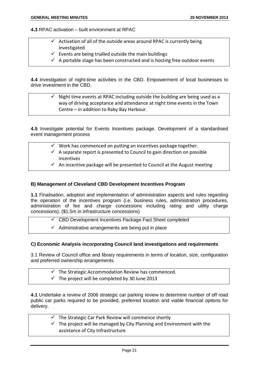**4.3** RPAC activation – built environment at RPAC

- $\checkmark$  Activation of all of the outside areas around RPAC is currently being investigated
- $\checkmark$  Events are being trialled outside the main buildings
- $\checkmark$  A portable stage has been constructed and is hosting free outdoor events

**4.4** Investigation of night-time activities in the CBD. Empowerment of local businesses to drive investment in the CBD.

 $\checkmark$  Night time events at RPAC including outside the building are being used as a way of driving acceptance and attendance at night time events in the Town Centre – in addition to Raby Bay Harbour.

**4.5** Investigate potential for Events Incentives package. Development of a standardised event management process

- $\checkmark$  Work has commenced on putting an incentives package together.
- $\checkmark$  A separate report is presented to Council to gain direction on possible incentives
- $\checkmark$  An incentive package will be presented to Council at the August meeting

#### **B) Management of Cleveland CBD Development Incentives Program**

**1.1** Finalisation, adoption and implementation of administration aspects and rules regarding the operation of the incentives program (i.e. business rules, administration procedures, administration of fee and charge concessions including rating and utility charge concessions). (\$1.5m in infrastructure concessions)

- $\checkmark$  CBD Development Incentives Package Fact Sheet completed
- $\checkmark$  Administrative arrangements are being put in place

#### **C) Economic Analysis incorporating Council land investigations and requirements**

3.1 Review of Council office and library requirements in terms of location, size, configuration and preferred ownership arrangements.

- $\checkmark$  The Strategic Accommodation Review has commenced.
- $\checkmark$  The project will be completed by 30 June 2013

**4.1** Undertake a review of 2006 strategic car parking review to determine number of off road public car parks required to be provided, preferred location and viable financial options for delivery.

- $\checkmark$  The Strategic Car Park Review will commence shortly
- $\checkmark$  The project will be managed by City Planning and Environment with the assistance of City Infrastructure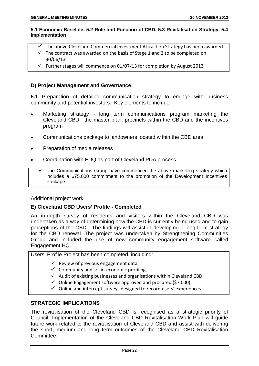#### **5.1 Economic Baseline, 5.2 Role and Function of CBD, 5.3 Revitalisation Strategy, 5.4 Implementation**

- $\checkmark$  The above Cleveland Commercial Investment Attraction Strategy has been awarded.
- $\checkmark$  The contract was awarded on the basis of Stage 1 and 2 to be completed on 30/06/13
- $\checkmark$  Further stages will commence on 01/07/13 for completion by August 2013

#### **D) Project Management and Governance**

**5.1** Preparation of detailed communication strategy to engage with business community and potential investors. Key elements to include:

- Marketing strategy long term communications program marketing the Cleveland CBD, the master plan, precincts within the CBD and the incentives program
- Communications package to landowners located within the CBD area
- Preparation of media releases
- Coordination with EDQ as part of Cleveland PDA process

 $\checkmark$  The Communications Group have commenced the above marketing strategy which includes a \$75,000 commitment to the promotion of the Development Incentives **Package** 

#### Additional project work

#### **E) Cleveland CBD Users' Profile - Completed**

An in-depth survey of residents and visitors within the Cleveland CBD was undertaken as a way of determining how the CBD is currently being used and to gain perceptions of the CBD. The findings will assist in developing a long-term strategy for the CBD renewal. The project was undertaken by Strengthening Communities Group and included the use of new community engagement software called Engagement HQ.

Users' Profile Project has been completed, including:

- $\checkmark$  Review of previous engagement data
- $\checkmark$  Community and socio-economic profiling
- $\checkmark$  Audit of existing businesses and organisations within Cleveland CBD
- $\checkmark$  Online Engagement software approved and procured (\$7,000)
- $\checkmark$  Online and intercept surveys designed to record users' experiences

#### **STRATEGIC IMPLICATIONS**

The revitalisation of the Cleveland CBD is recognised as a strategic priority of Council. Implementation of the Cleveland CBD Revitalisation Work Plan will guide future work related to the revitalisation of Cleveland CBD and assist with delivering the short, medium and long term outcomes of the Cleveland CBD Revitalisation Committee.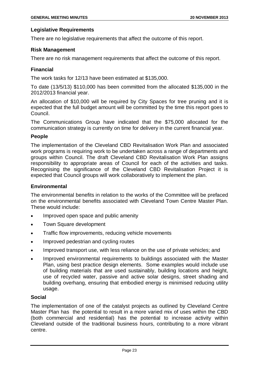#### **Legislative Requirements**

There are no legislative requirements that affect the outcome of this report.

#### **Risk Management**

There are no risk management requirements that affect the outcome of this report.

#### **Financial**

The work tasks for 12/13 have been estimated at \$135,000.

To date (13/5/13) \$110,000 has been committed from the allocated \$135,000 in the 2012/2013 financial year.

An allocation of \$10,000 will be required by City Spaces for tree pruning and it is expected that the full budget amount will be committed by the time this report goes to Council.

The Communications Group have indicated that the \$75,000 allocated for the communication strategy is currently on time for delivery in the current financial year.

#### **People**

The implementation of the Cleveland CBD Revitalisation Work Plan and associated work programs is requiring work to be undertaken across a range of departments and groups within Council. The draft Cleveland CBD Revitalisation Work Plan assigns responsibility to appropriate areas of Council for each of the activities and tasks. Recognising the significance of the Cleveland CBD Revitalisation Project it is expected that Council groups will work collaboratively to implement the plan.

#### **Environmental**

The environmental benefits in relation to the works of the Committee will be prefaced on the environmental benefits associated with Cleveland Town Centre Master Plan. These would include:

- Improved open space and public amenity
- Town Square development
- Traffic flow improvements, reducing vehicle movements
- Improved pedestrian and cycling routes
- Improved transport use, with less reliance on the use of private vehicles; and
- Improved environmental requirements to buildings associated with the Master Plan, using best practice design elements. Some examples would include use of building materials that are used sustainably, building locations and height, use of recycled water, passive and active solar designs, street shading and building overhang, ensuring that embodied energy is minimised reducing utility usage.

#### **Social**

The implementation of one of the catalyst projects as outlined by Cleveland Centre Master Plan has the potential to result in a more varied mix of uses within the CBD (both commercial and residential) has the potential to increase activity within Cleveland outside of the traditional business hours, contributing to a more vibrant centre.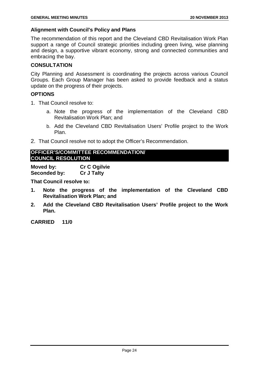#### **Alignment with Council's Policy and Plans**

The recommendation of this report and the Cleveland CBD Revitalisation Work Plan support a range of Council strategic priorities including green living, wise planning and design, a supportive vibrant economy, strong and connected communities and embracing the bay.

#### **CONSULTATION**

City Planning and Assessment is coordinating the projects across various Council Groups. Each Group Manager has been asked to provide feedback and a status update on the progress of their projects.

#### **OPTIONS**

- 1. That Council resolve to:
	- a. Note the progress of the implementation of the Cleveland CBD Revitalisation Work Plan; and
	- b. Add the Cleveland CBD Revitalisation Users' Profile project to the Work Plan.
- 2. That Council resolve not to adopt the Officer's Recommendation.

#### **OFFICER'S/COMMITTEE RECOMMENDATION/ COUNCIL RESOLUTION**

**Moved by: Cr C Ogilvie Seconded by: Cr J Talty**

**That Council resolve to:**

- **1. Note the progress of the implementation of the Cleveland CBD Revitalisation Work Plan; and**
- **2. Add the Cleveland CBD Revitalisation Users' Profile project to the Work Plan.**

**CARRIED 11/0**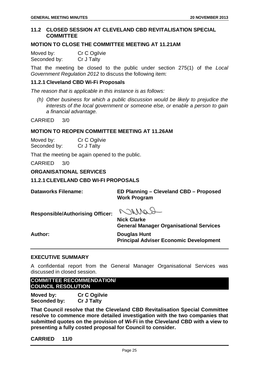#### <span id="page-25-0"></span>**11.2 CLOSED SESSION AT CLEVELAND CBD REVITALISATION SPECIAL COMMITTEE**

#### **MOTION TO CLOSE THE COMMITTEE MEETING AT 11.21AM**

Moved by: Cr C Ogilvie Seconded by: Cr J Talty

That the meeting be closed to the public under section 275(1) of the *Local Government Regulation 2012* to discuss the following item:

#### **11.2.1 Cleveland CBD Wi-Fi Proposals**

*The reason that is applicable in this instance is as follows:*

*(h) Other business for which a public discussion would be likely to prejudice the interests of the local government or someone else, or enable a person to gain a financial advantage.*

CARRIED 3/0

#### **MOTION TO REOPEN COMMITTEE MEETING AT 11.26AM**

Moved by: Cr C Ogilvie Seconded by: Cr J Talty

That the meeting be again opened to the public.

CARRIED 3/0

#### <span id="page-25-1"></span>**ORGANISATIONAL SERVICES**

<span id="page-25-2"></span>**11.2.1 CLEVELAND CBD WI-FI PROPOSALS**

**Dataworks Filename: ED Planning – Cleveland CBD – Proposed Work Program**

**Responsible/Authorising Officer:**

ROMACO

**Nick Clarke General Manager Organisational Services**

**Author: Douglas Hunt Principal Adviser Economic Development**

#### **EXECUTIVE SUMMARY**

A confidential report from the General Manager Organisational Services was discussed in closed session.

**COMMITTEE RECOMMENDATION/ COUNCIL RESOLUTION**

**Moved by: Cr C Ogilvie Seconded by: Cr J Talty**

**That Council resolve that the Cleveland CBD Revitalisation Special Committee resolve to commence more detailed investigation with the two companies that submitted quotes on the provision of Wi-Fi in the Cleveland CBD with a view to presenting a fully costed proposal for Council to consider.**

**CARRIED 11/0**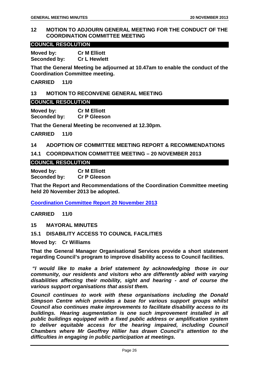#### <span id="page-26-0"></span>**12 MOTION TO ADJOURN GENERAL MEETING FOR THE CONDUCT OF THE COORDINATION COMMITTEE MEETING**

#### **COUNCIL RESOLUTION**

**Moved by: Cr M Elliott Seconded by: Cr L Hewlett**

**That the General Meeting be adjourned at 10.47am to enable the conduct of the Coordination Committee meeting.**

**CARRIED 11/0**

#### <span id="page-26-1"></span>**13 MOTION TO RECONVENE GENERAL MEETING**

#### **COUNCIL RESOLUTION**

**Moved by: Cr M Elliott Seconded by: Cr P Gleeson**

**That the General Meeting be reconvened at 12.30pm.**

**CARRIED 11/0**

#### <span id="page-26-2"></span>**14 ADOPTION OF COMMITTEE MEETING REPORT & RECOMMENDATIONS**

<span id="page-26-3"></span>**14.1 COORDINATION COMMITTEE MEETING – 20 NOVEMBER 2013**

#### **COUNCIL RESOLUTION**

**Moved by: Cr M Elliott Seconded by: Cr P Gleeson**

**That the Report and Recommendations of the Coordination Committee meeting held 20 November 2013 be adopted.**

**Coordination Committee Report 20 November 2013**

**CARRIED 11/0**

<span id="page-26-4"></span>**15 MAYORAL MINUTES**

#### <span id="page-26-5"></span>**15.1 DISABILITY ACCESS TO COUNCIL FACILITIES**

**Moved by: Cr Williams**

**That the General Manager Organisational Services provide a short statement regarding Council's program to improve disability access to Council facilities.**

*"I would like to make a brief statement by acknowledging those in our community, our residents and visitors who are differently abled with varying disabilities affecting their mobility, sight and hearing - and of course the various support organisations that assist them.*

*Council continues to work with these organisations including the Donald Simpson Centre which provides a base for various support groups whilst Council also continues make improvements to facilitate disability access to its buildings. Hearing augmentation is one such improvement installed in all public buildings equipped with a fixed public address or amplification system to deliver equitable access for the hearing impaired, including Council Chambers where Mr Geoffrey Hillier has drawn Council's attention to the difficulties in engaging in public participation at meetings.*